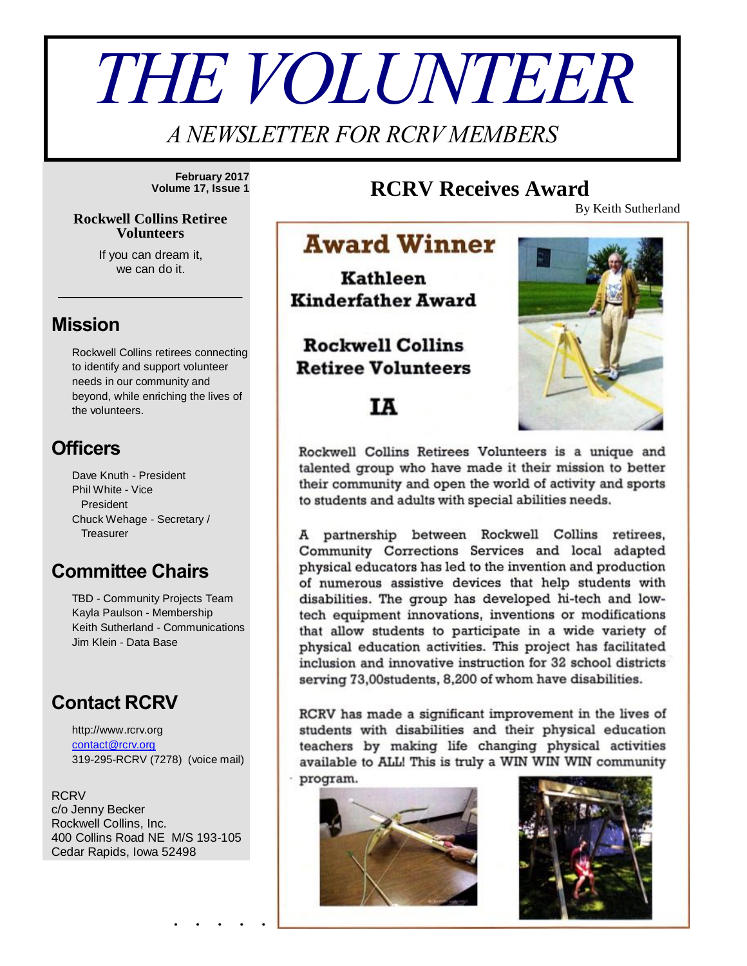# *THE VOLUNTEER*

*A NEWSLETTER FOR RCRV MEMBERS*

**February 2017 Volume 17, Issue 1**

### **Rockwell Collins Retiree Volunteers**

If you can dream it, we can do it.

\_\_\_\_\_\_\_\_\_\_\_\_\_\_\_\_\_

### **Mission**

Rockwell Collins retirees connecting to identify and support volunteer needs in our community and beyond, while enriching the lives of the volunteers.

### **Officers**

Dave Knuth - President Phil White - Vice President Chuck Wehage - Secretary / **Treasurer** 

## **Committee Chairs**

TBD - Community Projects Team Kayla Paulson - Membership Keith Sutherland - Communications Jim Klein - Data Base

## **Contact RCRV**

http://www.rcrv.org [contact@rcrv.org](mailto:contact@rcrv.org) 319-295-RCRV (7278) (voice mail)

**RCRV** c/o Jenny Becker Rockwell Collins, Inc. 400 Collins Road NE M/S 193-105 Cedar Rapids, Iowa 52498

### **RCRV Receives Award**

By Keith Sutherland

# **Award Winner**

**Kathleen Kinderfather Award** 

**Rockwell Collins Retiree Volunteers** 

# TA



Rockwell Collins Retirees Volunteers is a unique and talented group who have made it their mission to better their community and open the world of activity and sports to students and adults with special abilities needs.

A partnership between Rockwell Collins retirees, Community Corrections Services and local adapted physical educators has led to the invention and production of numerous assistive devices that help students with disabilities. The group has developed hi-tech and lowtech equipment innovations, inventions or modifications that allow students to participate in a wide variety of physical education activities. This project has facilitated inclusion and innovative instruction for 32 school districts serving 73,00students, 8,200 of whom have disabilities.

RCRV has made a significant improvement in the lives of students with disabilities and their physical education teachers by making life changing physical activities available to ALL! This is truly a WIN WIN WIN community · program.



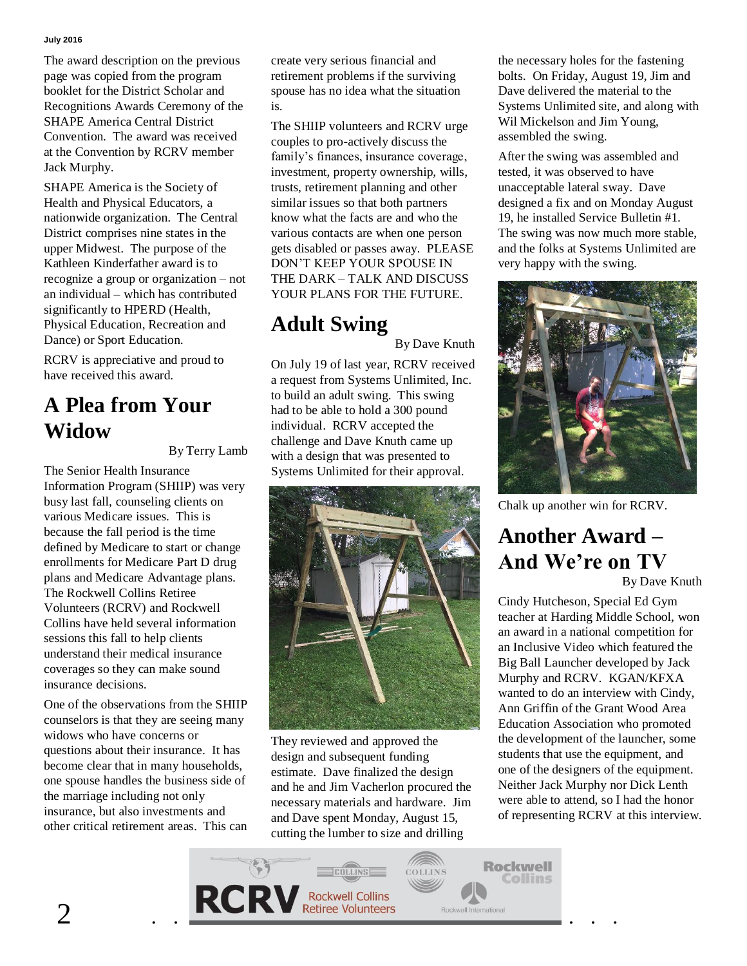#### **July 2016**

The award description on the previous page was copied from the program booklet for the District Scholar and Recognitions Awards Ceremony of the SHAPE America Central District Convention. The award was received at the Convention by RCRV member Jack Murphy.

SHAPE America is the Society of Health and Physical Educators, a nationwide organization. The Central District comprises nine states in the upper Midwest. The purpose of the Kathleen Kinderfather award is to recognize a group or organization – not an individual – which has contributed significantly to HPERD (Health, Physical Education, Recreation and Dance) or Sport Education.

RCRV is appreciative and proud to have received this award.

# **A Plea from Your Widow**

By Terry Lamb

The Senior Health Insurance Information Program (SHIIP) was very busy last fall, counseling clients on various Medicare issues. This is because the fall period is the time defined by Medicare to start or change enrollments for Medicare Part D drug plans and Medicare Advantage plans. The Rockwell Collins Retiree Volunteers (RCRV) and Rockwell Collins have held several information sessions this fall to help clients understand their medical insurance coverages so they can make sound insurance decisions.

One of the observations from the SHIIP counselors is that they are seeing many widows who have concerns or questions about their insurance. It has become clear that in many households, one spouse handles the business side of the marriage including not only insurance, but also investments and other critical retirement areas. This can create very serious financial and retirement problems if the surviving spouse has no idea what the situation is.

The SHIIP volunteers and RCRV urge couples to pro-actively discuss the family's finances, insurance coverage, investment, property ownership, wills, trusts, retirement planning and other similar issues so that both partners know what the facts are and who the various contacts are when one person gets disabled or passes away. PLEASE DON'T KEEP YOUR SPOUSE IN THE DARK – TALK AND DISCUSS YOUR PLANS FOR THE FUTURE.

# **Adult Swing**

By Dave Knuth

On July 19 of last year, RCRV received a request from Systems Unlimited, Inc. to build an adult swing. This swing had to be able to hold a 300 pound individual. RCRV accepted the challenge and Dave Knuth came up with a design that was presented to Systems Unlimited for their approval.



They reviewed and approved the design and subsequent funding estimate. Dave finalized the design and he and Jim Vacherlon procured the necessary materials and hardware. Jim and Dave spent Monday, August 15, cutting the lumber to size and drilling

the necessary holes for the fastening bolts. On Friday, August 19, Jim and Dave delivered the material to the Systems Unlimited site, and along with Wil Mickelson and Jim Young, assembled the swing.

After the swing was assembled and tested, it was observed to have unacceptable lateral sway. Dave designed a fix and on Monday August 19, he installed Service Bulletin #1. The swing was now much more stable, and the folks at Systems Unlimited are very happy with the swing.



Chalk up another win for RCRV.

# **Another Award – And We're on TV**

By Dave Knuth

Cindy Hutcheson, Special Ed Gym teacher at Harding Middle School, won an award in a national competition for an Inclusive Video which featured the Big Ball Launcher developed by Jack Murphy and RCRV. KGAN/KFXA wanted to do an interview with Cindy, Ann Griffin of the Grant Wood Area Education Association who promoted the development of the launcher, some students that use the equipment, and one of the designers of the equipment. Neither Jack Murphy nor Dick Lenth were able to attend, so I had the honor of representing RCRV at this interview.

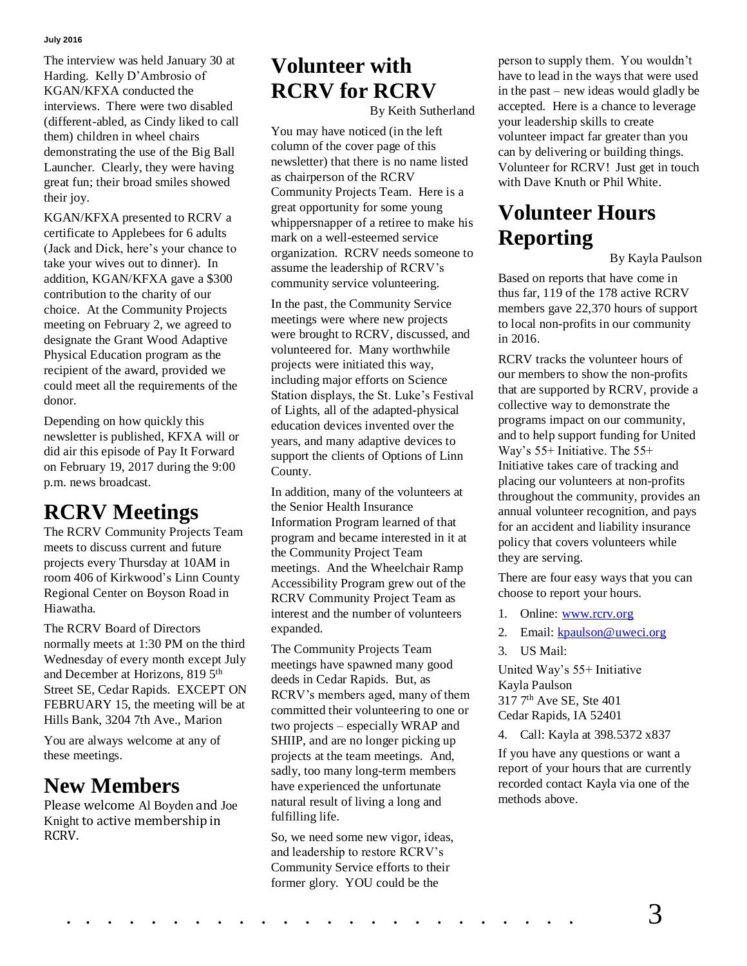#### **July 2016**

The interview was held January 30 at Harding. Kelly D'Ambrosio of KGAN/KFXA conducted the interviews. There were two disabled (different-abled, as Cindy liked to call them) children in wheel chairs demonstrating the use of the Big Ball Launcher. Clearly, they were having great fun; their broad smiles showed their joy.

KGAN/KFXA presented to RCRV a certificate to Applebees for 6 adults (Jack and Dick, here's your chance to take your wives out to dinner). In addition, KGAN/KFXA gave a \$300 contribution to the charity of our choice. At the Community Projects meeting on February 2, we agreed to designate the Grant Wood Adaptive Physical Education program as the recipient of the award, provided we could meet all the requirements of the donor.

Depending on how quickly this newsletter is published, KFXA will or did air this episode of Pay It Forward on February 19, 2017 during the 9:00 p.m. news broadcast.

## **RCRV Meetings**

The RCRV Community Projects Team meets to discuss current and future projects every Thursday at 10AM in room 406 of Kirkwood's Linn County Regional Center on Boyson Road in Hiawatha.

The RCRV Board of Directors normally meets at 1:30 PM on the third Wednesday of every month except July and December at Horizons, 819 5th Street SE, Cedar Rapids. EXCEPT ON FEBRUARY 15, the meeting will be at Hills Bank, 3204 7th Ave., Marion

You are always welcome at any of these meetings.

# **New Members**

Please welcome Al Boyden and Joe Knight to active membership in RCRV.

# **Volunteer with RCRV for RCRV**

By Keith Sutherland

You may have noticed (in the left column of the cover page of this newsletter) that there is no name listed as chairperson of the RCRV Community Projects Team. Here is a great opportunity for some young whippersnapper of a retiree to make his mark on a well-esteemed service organization. RCRV needs someone to assume the leadership of RCRV's community service volunteering.

In the past, the Community Service meetings were where new projects were brought to RCRV, discussed, and volunteered for. Many worthwhile projects were initiated this way, including major efforts on Science Station displays, the St. Luke's Festival of Lights, all of the adapted-physical education devices invented over the years, and many adaptive devices to support the clients of Options of Linn County.

In addition, many of the volunteers at the Senior Health Insurance Information Program learned of that program and became interested in it at the Community Project Team meetings. And the Wheelchair Ramp Accessibility Program grew out of the RCRV Community Project Team as interest and the number of volunteers expanded.

The Community Projects Team meetings have spawned many good deeds in Cedar Rapids. But, as RCRV's members aged, many of them committed their volunteering to one or two projects – especially WRAP and SHIIP, and are no longer picking up projects at the team meetings. And, sadly, too many long-term members have experienced the unfortunate natural result of living a long and fulfilling life.

So, we need some new vigor, ideas, and leadership to restore RCRV's Community Service efforts to their former glory. YOU could be the

person to supply them. You wouldn't have to lead in the ways that were used in the past – new ideas would gladly be accepted. Here is a chance to leverage your leadership skills to create volunteer impact far greater than you can by delivering or building things. Volunteer for RCRV! Just get in touch with Dave Knuth or Phil White.

# **Volunteer Hours Reporting**

By Kayla Paulson

Based on reports that have come in thus far, 119 of the 178 active RCRV members gave 22,370 hours of support to local non-profits in our community in 2016.

RCRV tracks the volunteer hours of our members to show the non-profits that are supported by RCRV, provide a collective way to demonstrate the programs impact on our community, and to help support funding for United Way's 55+ Initiative. The 55+ Initiative takes care of tracking and placing our volunteers at non-profits throughout the community, provides an annual volunteer recognition, and pays for an accident and liability insurance policy that covers volunteers while they are serving.

There are four easy ways that you can choose to report your hours.

- 1. Online: [www.rcrv.org](http://www.rcrv.org/)
- 2. Email: [kpaulson@uweci.org](mailto:kpaulson@uweci.org)
- 3. US Mail:

United Way's 55+ Initiative Kayla Paulson 317 7th Ave SE, Ste 401 Cedar Rapids, IA 52401

4. Call: Kayla at 398.5372 x837

If you have any questions or want a report of your hours that are currently recorded contact Kayla via one of the methods above.